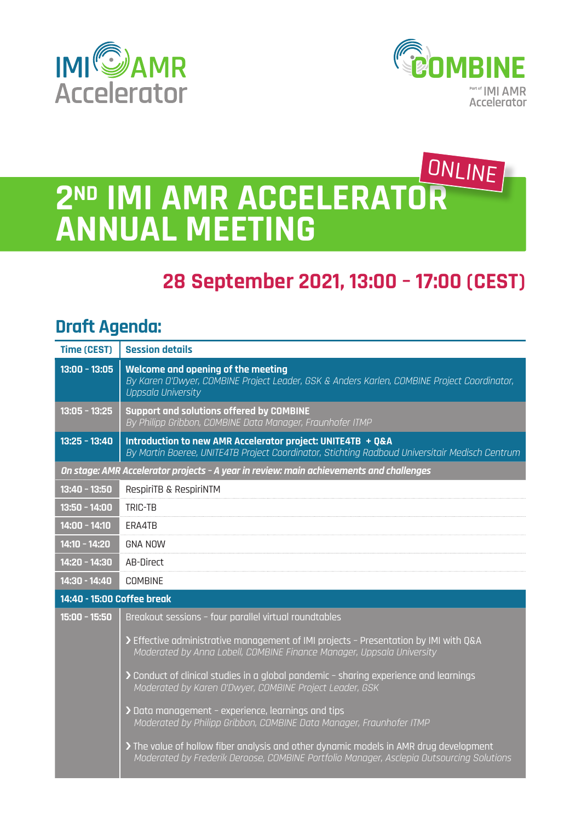



## **2ND IMI AMR ACCELERATOR ANNUAL MEETING** ONLINE

## **28 September 2021, 13:00 – 17:00 (CEST)**

## **Draft Agenda:**

| <b>Time (CEST)</b>                                                                      | <b>Session details</b>                                                                                                                                                            |
|-----------------------------------------------------------------------------------------|-----------------------------------------------------------------------------------------------------------------------------------------------------------------------------------|
| $13:00 - 13:05$                                                                         | Welcome and opening of the meeting<br>By Karen O'Dwyer, COMBINE Project Leader, GSK & Anders Karlen, COMBINE Project Coordinator,<br>Uppsala University                           |
| $13:05 - 13:25$                                                                         | <b>Support and solutions offered by COMBINE</b><br>By Philipp Gribbon, COMBINE Data Manager, Fraunhofer ITMP                                                                      |
| $13:25 - 13:40$                                                                         | Introduction to new AMR Accelerator project: UNITE4TB + Q&A<br>By Martin Boeree, UNITE4TB Project Coordinator, Stichting Radboud Universitair Medisch Centrum                     |
| On stage: AMR Accelerator projects - A year in review: main achievements and challenges |                                                                                                                                                                                   |
| $13:40 - 13:50$                                                                         | RespiriTB & RespiriNTM                                                                                                                                                            |
| $13:50 - 14:00$                                                                         | <b>TRIC-TB</b>                                                                                                                                                                    |
| $14:00 - 14:10$                                                                         | ERA4TB                                                                                                                                                                            |
| $14:10 - 14:20$                                                                         | <b>GNA NOW</b>                                                                                                                                                                    |
| 14:20 - 14:30                                                                           | AB-Direct                                                                                                                                                                         |
| 14:30 - 14:40                                                                           | <b>COMBINE</b>                                                                                                                                                                    |
| 14:40 - 15:00 Coffee break                                                              |                                                                                                                                                                                   |
| 15:00 - 15:50                                                                           | Breakout sessions - four parallel virtual roundtables                                                                                                                             |
|                                                                                         | > Effective administrative management of IMI projects - Presentation by IMI with Q&A<br>Moderated by Anna Lobell, COMBINE Finance Manager, Uppsala University                     |
|                                                                                         | > Conduct of clinical studies in a global pandemic - sharing experience and learnings<br>Moderated by Karen O'Dwyer, COMBINE Project Leader, GSK                                  |
|                                                                                         | > Data management - experience, learnings and tips<br>Moderated by Philipp Gribbon, COMBINE Data Manager, Fraunhofer ITMP                                                         |
|                                                                                         | > The value of hollow fiber analysis and other dynamic models in AMR drug development<br>Moderated by Frederik Deroose, COMBINE Portfolio Manager, Asclepia Outsourcing Solutions |